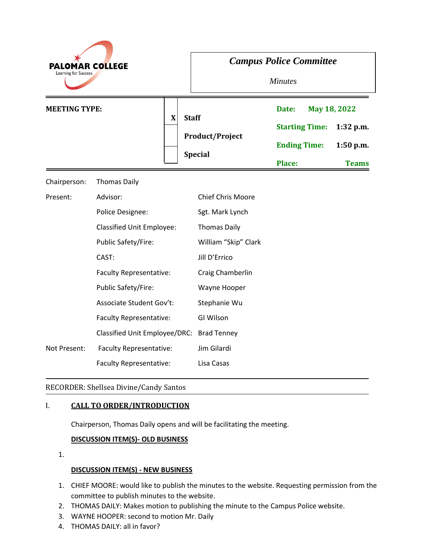| <b>PALOMAR COLLEGE</b><br>Learning for Success |                                           | <b>Campus Police Committee</b><br><b>Minutes</b> |                                                                                 |                                          |
|------------------------------------------------|-------------------------------------------|--------------------------------------------------|---------------------------------------------------------------------------------|------------------------------------------|
| <b>MEETING TYPE:</b>                           | $\boldsymbol{\mathrm{X}}$<br><b>Staff</b> | <b>Product/Project</b><br><b>Special</b>         | May 18, 2022<br>Date:<br><b>Starting Time:</b><br><b>Ending Time:</b><br>Place: | $1:32$ p.m.<br>1:50 p.m.<br><b>Teams</b> |
| Chairperson:                                   | <b>Thomas Daily</b>                       |                                                  |                                                                                 |                                          |
| Present:                                       | Advisor:                                  | <b>Chief Chris Moore</b>                         |                                                                                 |                                          |
|                                                | Police Designee:                          | Sgt. Mark Lynch                                  |                                                                                 |                                          |
|                                                | <b>Classified Unit Employee:</b>          | <b>Thomas Daily</b>                              |                                                                                 |                                          |
|                                                | Public Safety/Fire:                       | William "Skip" Clark                             |                                                                                 |                                          |
|                                                | CAST:                                     | Jill D'Errico                                    |                                                                                 |                                          |
|                                                | Faculty Representative:                   | Craig Chamberlin                                 |                                                                                 |                                          |
|                                                | Public Safety/Fire:                       | Wayne Hooper                                     |                                                                                 |                                          |
|                                                | Associate Student Gov't:                  | Stephanie Wu                                     |                                                                                 |                                          |
|                                                | Faculty Representative:                   | GI Wilson                                        |                                                                                 |                                          |
|                                                | Classified Unit Employee/DRC:             | <b>Brad Tenney</b>                               |                                                                                 |                                          |
| Not Present:                                   | <b>Faculty Representative:</b>            | Jim Gilardi                                      |                                                                                 |                                          |
|                                                | Faculty Representative:                   | Lisa Casas                                       |                                                                                 |                                          |

RECORDER: Shellsea Divine/Candy Santos

## I. **CALL TO ORDER/INTRODUCTION**

Chairperson, Thomas Daily opens and will be facilitating the meeting.

## **DISCUSSION ITEM(S)- OLD BUSINESS**

1.

## **DISCUSSION ITEM(S) - NEW BUSINESS**

- 1. CHIEF MOORE: would like to publish the minutes to the website. Requesting permission from the committee to publish minutes to the website.
- 2. THOMAS DAILY: Makes motion to publishing the minute to the Campus Police website.
- 3. WAYNE HOOPER: second to motion Mr. Daily
- 4. THOMAS DAILY: all in favor?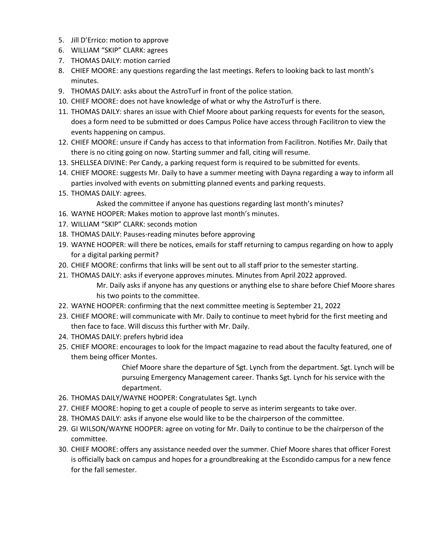- 5. Jill D'Errico: motion to approve
- 6. WILLIAM "SKIP" CLARK: agrees
- 7. THOMAS DAILY: motion carried
- 8. CHIEF MOORE: any questions regarding the last meetings. Refers to looking back to last month's minutes.
- 9. THOMAS DAILY: asks about the AstroTurf in front of the police station.
- 10. CHIEF MOORE: does not have knowledge of what or why the AstroTurf is there.
- 11. THOMAS DAILY: shares an issue with Chief Moore about parking requests for events for the season, does a form need to be submitted or does Campus Police have access through Facilitron to view the events happening on campus.
- 12. CHIEF MOORE: unsure if Candy has access to that information from Facilitron. Notifies Mr. Daily that there is no citing going on now. Starting summer and fall, citing will resume.
- 13. SHELLSEA DIVINE: Per Candy, a parking request form is required to be submitted for events.
- 14. CHIEF MOORE: suggests Mr. Daily to have a summer meeting with Dayna regarding a way to inform all parties involved with events on submitting planned events and parking requests.
- 15. THOMAS DAILY: agrees.
	- Asked the committee if anyone has questions regarding last month's minutes?
- 16. WAYNE HOOPER: Makes motion to approve last month's minutes.
- 17. WILLIAM "SKIP" CLARK: seconds motion
- 18. THOMAS DAILY: Pauses-reading minutes before approving
- 19. WAYNE HOOPER: will there be notices, emails for staff returning to campus regarding on how to apply for a digital parking permit?
- 20. CHIEF MOORE: confirms that links will be sent out to all staff prior to the semester starting.
- 21. THOMAS DAILY: asks if everyone approves minutes. Minutes from April 2022 approved. Mr. Daily asks if anyone has any questions or anything else to share before Chief Moore shares his two points to the committee.
- 22. WAYNE HOOPER: confirming that the next committee meeting is September 21, 2022
- 23. CHIEF MOORE: will communicate with Mr. Daily to continue to meet hybrid for the first meeting and then face to face. Will discuss this further with Mr. Daily.
- 24. THOMAS DAILY: prefers hybrid idea
- 25. CHIEF MOORE: encourages to look for the Impact magazine to read about the faculty featured, one of them being officer Montes.

Chief Moore share the departure of Sgt. Lynch from the department. Sgt. Lynch will be pursuing Emergency Management career. Thanks Sgt. Lynch for his service with the department.

- 26. THOMAS DAILY/WAYNE HOOPER: Congratulates Sgt. Lynch
- 27. CHIEF MOORE: hoping to get a couple of people to serve as interim sergeants to take over.
- 28. THOMAS DAILY: asks if anyone else would like to be the chairperson of the committee.
- 29. GI WILSON/WAYNE HOOPER: agree on voting for Mr. Daily to continue to be the chairperson of the committee.
- 30. CHIEF MOORE: offers any assistance needed over the summer. Chief Moore shares that officer Forest is officially back on campus and hopes for a groundbreaking at the Escondido campus for a new fence for the fall semester.